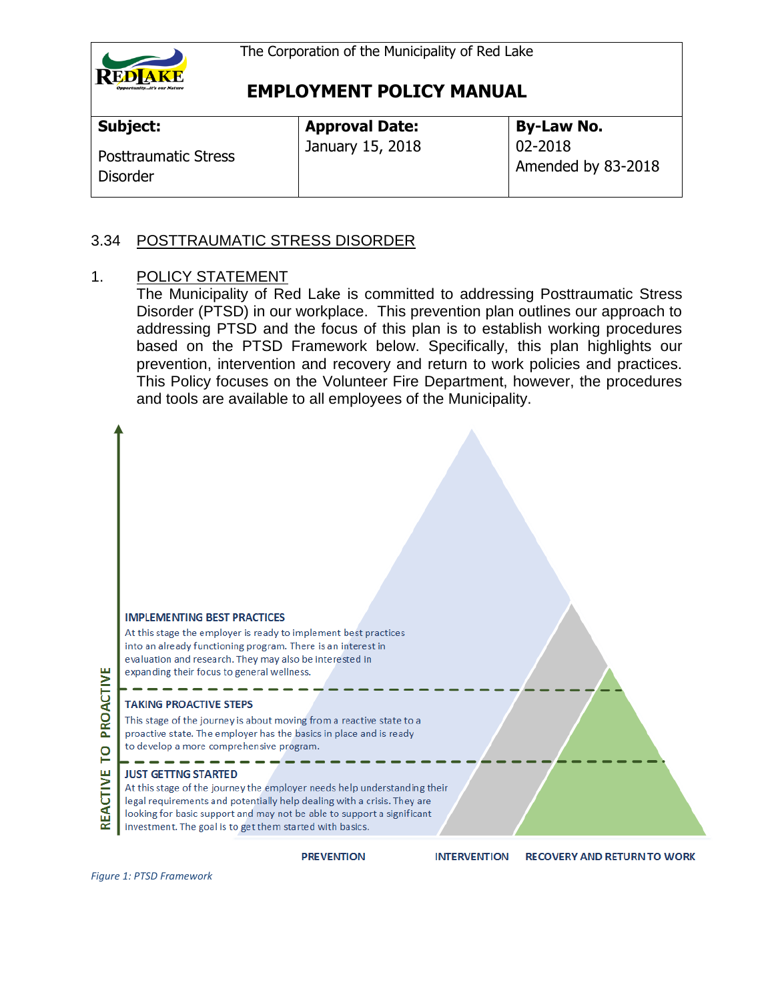

| <b>Subject:</b>                                | <b>Approval Date:</b> | <b>By-Law No.</b>             |
|------------------------------------------------|-----------------------|-------------------------------|
| <b>Posttraumatic Stress</b><br><b>Disorder</b> | January 15, 2018      | 02-2018<br>Amended by 83-2018 |

#### 3.34 POSTTRAUMATIC STRESS DISORDER

#### 1. POLICY STATEMENT

The Municipality of Red Lake is committed to addressing Posttraumatic Stress Disorder (PTSD) in our workplace. This prevention plan outlines our approach to addressing PTSD and the focus of this plan is to establish working procedures based on the PTSD Framework below. Specifically, this plan highlights our prevention, intervention and recovery and return to work policies and practices. This Policy focuses on the Volunteer Fire Department, however, the procedures and tools are available to all employees of the Municipality.



*Figure 1: PTSD Framework*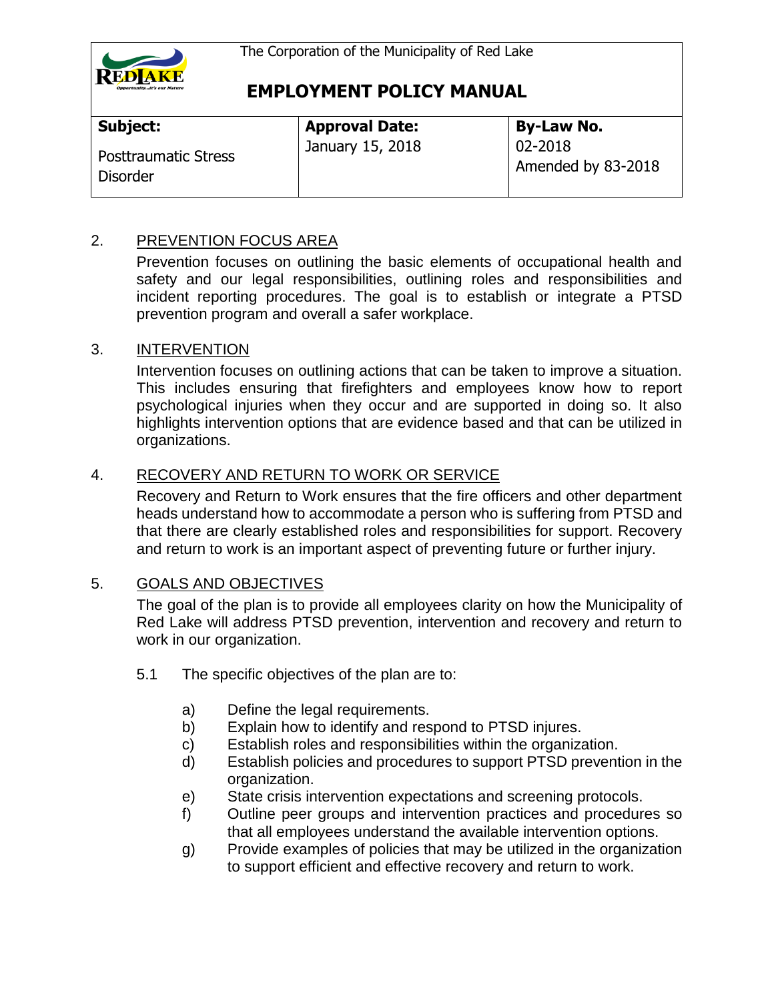

| Subject:                                       | <b>Approval Date:</b> | <b>By-Law No.</b>                  |
|------------------------------------------------|-----------------------|------------------------------------|
| <b>Posttraumatic Stress</b><br><b>Disorder</b> | January 15, 2018      | $ 02 - 2018$<br>Amended by 83-2018 |

### 2. PREVENTION FOCUS AREA

Prevention focuses on outlining the basic elements of occupational health and safety and our legal responsibilities, outlining roles and responsibilities and incident reporting procedures. The goal is to establish or integrate a PTSD prevention program and overall a safer workplace.

#### 3. INTERVENTION

Intervention focuses on outlining actions that can be taken to improve a situation. This includes ensuring that firefighters and employees know how to report psychological injuries when they occur and are supported in doing so. It also highlights intervention options that are evidence based and that can be utilized in organizations.

### 4. RECOVERY AND RETURN TO WORK OR SERVICE

Recovery and Return to Work ensures that the fire officers and other department heads understand how to accommodate a person who is suffering from PTSD and that there are clearly established roles and responsibilities for support. Recovery and return to work is an important aspect of preventing future or further injury.

#### 5. GOALS AND OBJECTIVES

The goal of the plan is to provide all employees clarity on how the Municipality of Red Lake will address PTSD prevention, intervention and recovery and return to work in our organization.

- 5.1 The specific objectives of the plan are to:
	- a) Define the legal requirements.
	- b) Explain how to identify and respond to PTSD injures.
	- c) Establish roles and responsibilities within the organization.
	- d) Establish policies and procedures to support PTSD prevention in the organization.
	- e) State crisis intervention expectations and screening protocols.
	- f) Outline peer groups and intervention practices and procedures so that all employees understand the available intervention options.
	- g) Provide examples of policies that may be utilized in the organization to support efficient and effective recovery and return to work.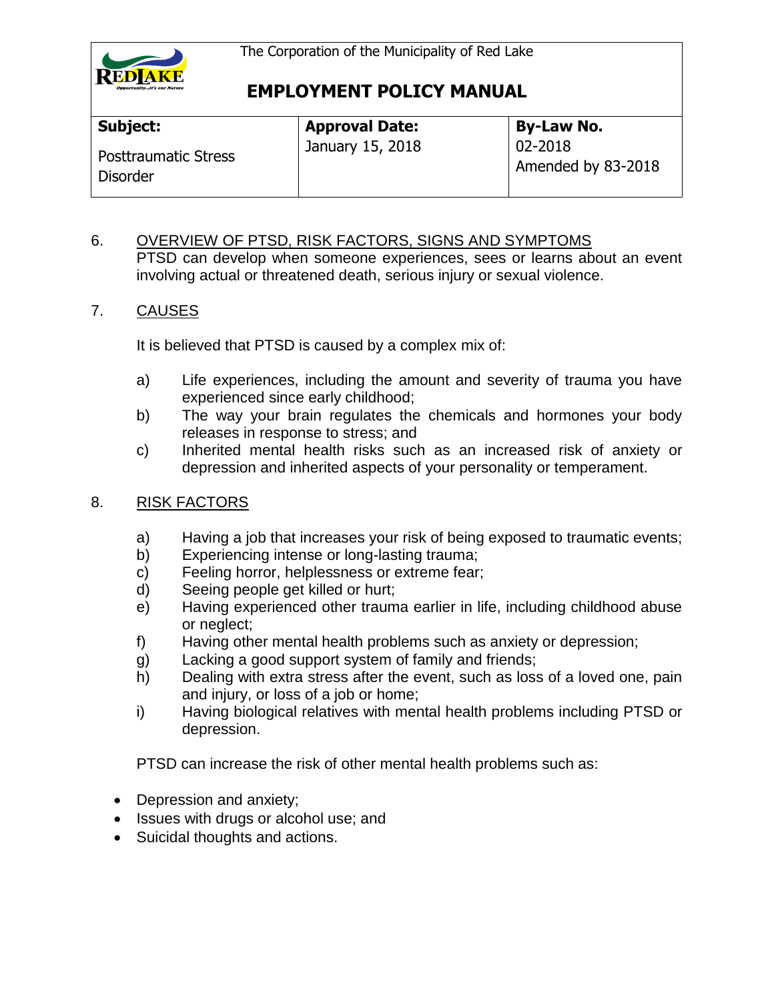

| Subject:                                       | <b>Approval Date:</b> | <b>By-Law No.</b>             |
|------------------------------------------------|-----------------------|-------------------------------|
| <b>Posttraumatic Stress</b><br><b>Disorder</b> | January 15, 2018      | 02-2018<br>Amended by 83-2018 |

6. OVERVIEW OF PTSD, RISK FACTORS, SIGNS AND SYMPTOMS PTSD can develop when someone experiences, sees or learns about an event involving actual or threatened death, serious injury or sexual violence.

#### 7. CAUSES

It is believed that PTSD is caused by a complex mix of:

- a) Life experiences, including the amount and severity of trauma you have experienced since early childhood;
- b) The way your brain regulates the chemicals and hormones your body releases in response to stress; and
- c) Inherited mental health risks such as an increased risk of anxiety or depression and inherited aspects of your personality or temperament.
- 8. RISK FACTORS
	- a) Having a job that increases your risk of being exposed to traumatic events;
	- b) Experiencing intense or long-lasting trauma;
	- c) Feeling horror, helplessness or extreme fear;
	- d) Seeing people get killed or hurt;
	- e) Having experienced other trauma earlier in life, including childhood abuse or neglect;
	- f) Having other mental health problems such as anxiety or depression;
	- g) Lacking a good support system of family and friends;
	- h) Dealing with extra stress after the event, such as loss of a loved one, pain and injury, or loss of a job or home;
	- i) Having biological relatives with mental health problems including PTSD or depression.

PTSD can increase the risk of other mental health problems such as:

- Depression and anxiety;
- Issues with drugs or alcohol use; and
- Suicidal thoughts and actions.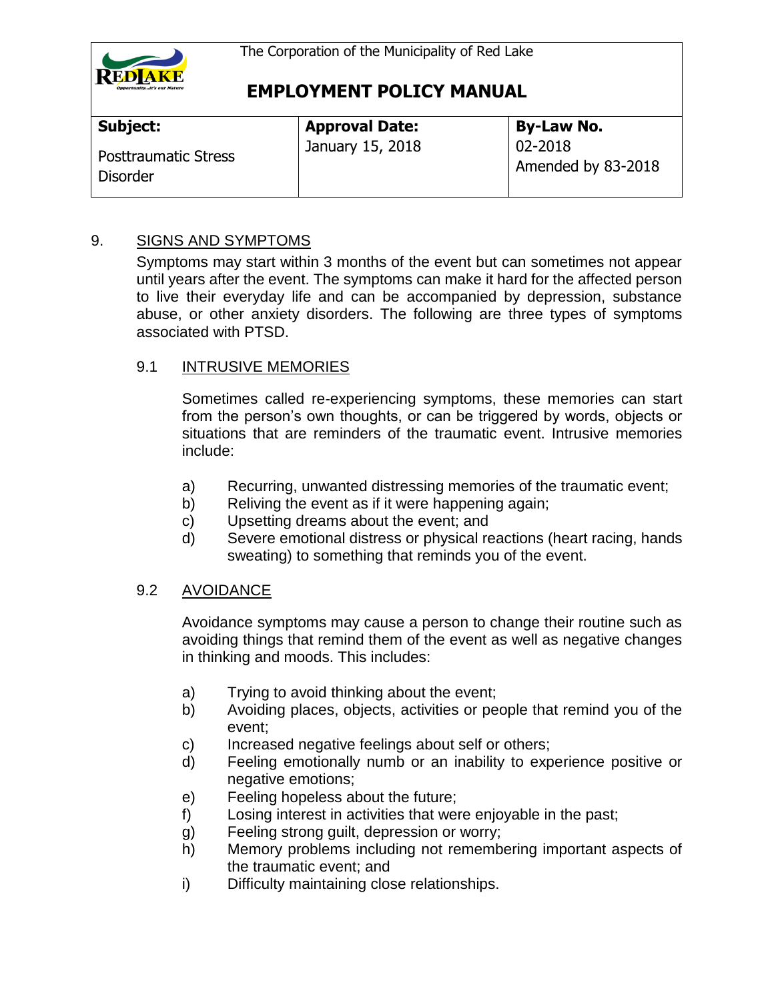

| Subject:                                       | <b>Approval Date:</b> | <b>By-Law No.</b>             |
|------------------------------------------------|-----------------------|-------------------------------|
| <b>Posttraumatic Stress</b><br><b>Disorder</b> | January 15, 2018      | 02-2018<br>Amended by 83-2018 |

### 9. SIGNS AND SYMPTOMS

Symptoms may start within 3 months of the event but can sometimes not appear until years after the event. The symptoms can make it hard for the affected person to live their everyday life and can be accompanied by depression, substance abuse, or other anxiety disorders. The following are three types of symptoms associated with PTSD.

#### 9.1 INTRUSIVE MEMORIES

Sometimes called re-experiencing symptoms, these memories can start from the person's own thoughts, or can be triggered by words, objects or situations that are reminders of the traumatic event. Intrusive memories include:

- a) Recurring, unwanted distressing memories of the traumatic event;
- b) Reliving the event as if it were happening again;
- c) Upsetting dreams about the event; and
- d) Severe emotional distress or physical reactions (heart racing, hands sweating) to something that reminds you of the event.

#### 9.2 AVOIDANCE

Avoidance symptoms may cause a person to change their routine such as avoiding things that remind them of the event as well as negative changes in thinking and moods. This includes:

- a) Trying to avoid thinking about the event;
- b) Avoiding places, objects, activities or people that remind you of the event;
- c) Increased negative feelings about self or others;
- d) Feeling emotionally numb or an inability to experience positive or negative emotions;
- e) Feeling hopeless about the future;
- f) Losing interest in activities that were enjoyable in the past;
- g) Feeling strong guilt, depression or worry;
- h) Memory problems including not remembering important aspects of the traumatic event; and
- i) Difficulty maintaining close relationships.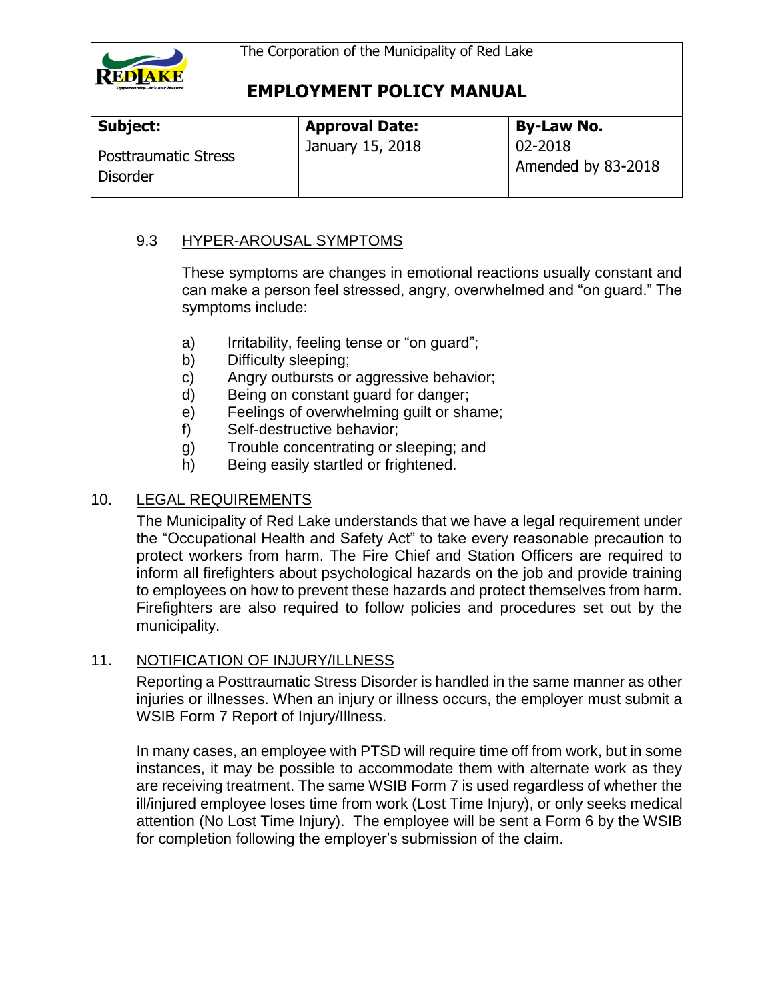

| Subject:                                       | <b>Approval Date:</b> | <b>By-Law No.</b>                 |
|------------------------------------------------|-----------------------|-----------------------------------|
| <b>Posttraumatic Stress</b><br><b>Disorder</b> | January 15, 2018      | $02 - 2018$<br>Amended by 83-2018 |

### 9.3 HYPER-AROUSAL SYMPTOMS

These symptoms are changes in emotional reactions usually constant and can make a person feel stressed, angry, overwhelmed and "on guard." The symptoms include:

- a) Irritability, feeling tense or "on guard";
- b) Difficulty sleeping;
- c) Angry outbursts or aggressive behavior;
- d) Being on constant guard for danger;
- e) Feelings of overwhelming guilt or shame;
- f) Self-destructive behavior;
- g) Trouble concentrating or sleeping; and
- h) Being easily startled or frightened.

### 10. LEGAL REQUIREMENTS

The Municipality of Red Lake understands that we have a legal requirement under the "Occupational Health and Safety Act" to take every reasonable precaution to protect workers from harm. The Fire Chief and Station Officers are required to inform all firefighters about psychological hazards on the job and provide training to employees on how to prevent these hazards and protect themselves from harm. Firefighters are also required to follow policies and procedures set out by the municipality.

### 11. NOTIFICATION OF INJURY/ILLNESS

Reporting a Posttraumatic Stress Disorder is handled in the same manner as other injuries or illnesses. When an injury or illness occurs, the employer must submit a WSIB Form 7 Report of Injury/Illness.

In many cases, an employee with PTSD will require time off from work, but in some instances, it may be possible to accommodate them with alternate work as they are receiving treatment. The same WSIB Form 7 is used regardless of whether the ill/injured employee loses time from work (Lost Time Injury), or only seeks medical attention (No Lost Time Injury). The employee will be sent a Form 6 by the WSIB for completion following the employer's submission of the claim.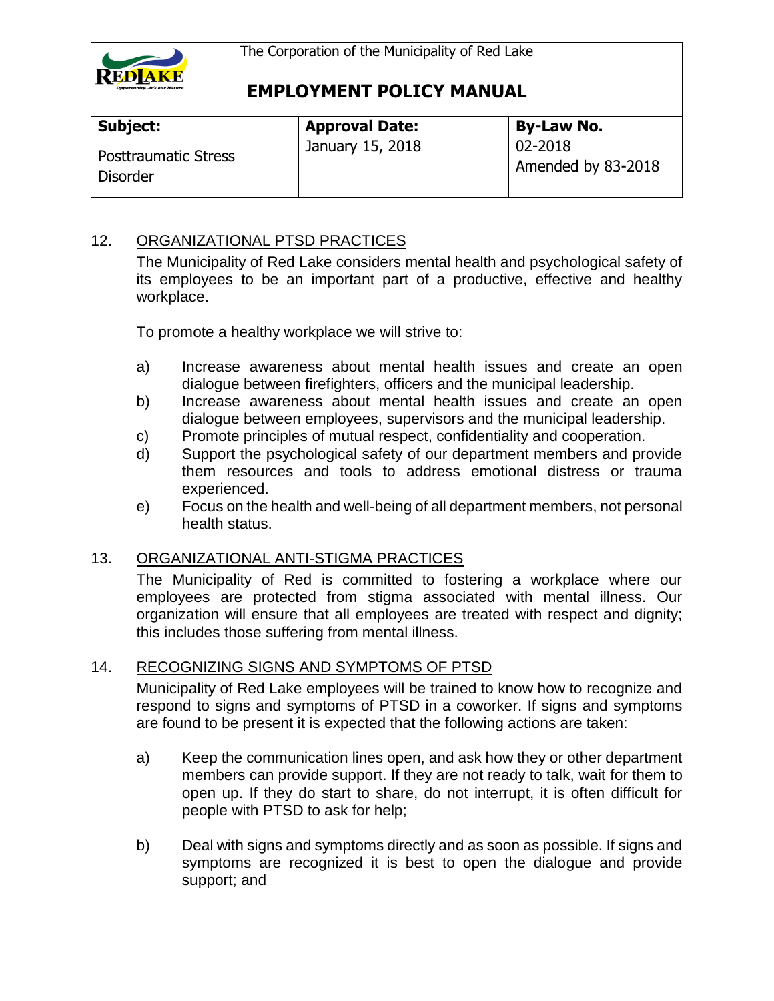

| Subject:                                       | <b>Approval Date:</b> | <b>By-Law No.</b>             |
|------------------------------------------------|-----------------------|-------------------------------|
| <b>Posttraumatic Stress</b><br><b>Disorder</b> | January 15, 2018      | 02-2018<br>Amended by 83-2018 |

### 12. ORGANIZATIONAL PTSD PRACTICES

The Municipality of Red Lake considers mental health and psychological safety of its employees to be an important part of a productive, effective and healthy workplace.

To promote a healthy workplace we will strive to:

- a) Increase awareness about mental health issues and create an open dialogue between firefighters, officers and the municipal leadership.
- b) Increase awareness about mental health issues and create an open dialogue between employees, supervisors and the municipal leadership.
- c) Promote principles of mutual respect, confidentiality and cooperation.
- d) Support the psychological safety of our department members and provide them resources and tools to address emotional distress or trauma experienced.
- e) Focus on the health and well-being of all department members, not personal health status.

### 13. ORGANIZATIONAL ANTI-STIGMA PRACTICES

The Municipality of Red is committed to fostering a workplace where our employees are protected from stigma associated with mental illness. Our organization will ensure that all employees are treated with respect and dignity; this includes those suffering from mental illness.

### 14. RECOGNIZING SIGNS AND SYMPTOMS OF PTSD

Municipality of Red Lake employees will be trained to know how to recognize and respond to signs and symptoms of PTSD in a coworker. If signs and symptoms are found to be present it is expected that the following actions are taken:

- a) Keep the communication lines open, and ask how they or other department members can provide support. If they are not ready to talk, wait for them to open up. If they do start to share, do not interrupt, it is often difficult for people with PTSD to ask for help;
- b) Deal with signs and symptoms directly and as soon as possible. If signs and symptoms are recognized it is best to open the dialogue and provide support; and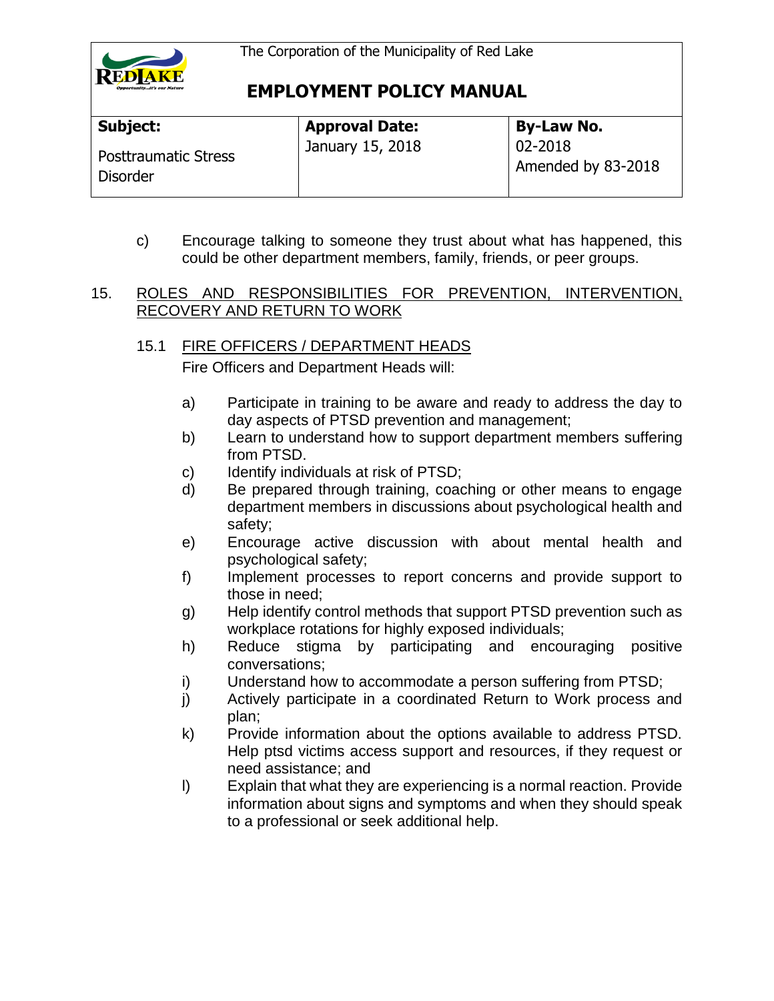

| Subject:                                | <b>Approval Date:</b> | <b>By-Law No.</b>             |
|-----------------------------------------|-----------------------|-------------------------------|
| <b>Posttraumatic Stress</b><br>Disorder | January 15, 2018      | 02-2018<br>Amended by 83-2018 |

c) Encourage talking to someone they trust about what has happened, this could be other department members, family, friends, or peer groups.

#### 15. ROLES AND RESPONSIBILITIES FOR PREVENTION, INTERVENTION, RECOVERY AND RETURN TO WORK

### 15.1 FIRE OFFICERS / DEPARTMENT HEADS

Fire Officers and Department Heads will:

- a) Participate in training to be aware and ready to address the day to day aspects of PTSD prevention and management;
- b) Learn to understand how to support department members suffering from PTSD.
- c) Identify individuals at risk of PTSD;
- d) Be prepared through training, coaching or other means to engage department members in discussions about psychological health and safety;
- e) Encourage active discussion with about mental health and psychological safety;
- f) Implement processes to report concerns and provide support to those in need;
- g) Help identify control methods that support PTSD prevention such as workplace rotations for highly exposed individuals;
- h) Reduce stigma by participating and encouraging positive conversations;
- i) Understand how to accommodate a person suffering from PTSD;
- j) Actively participate in a coordinated Return to Work process and plan;
- k) Provide information about the options available to address PTSD. Help ptsd victims access support and resources, if they request or need assistance; and
- l) Explain that what they are experiencing is a normal reaction. Provide information about signs and symptoms and when they should speak to a professional or seek additional help.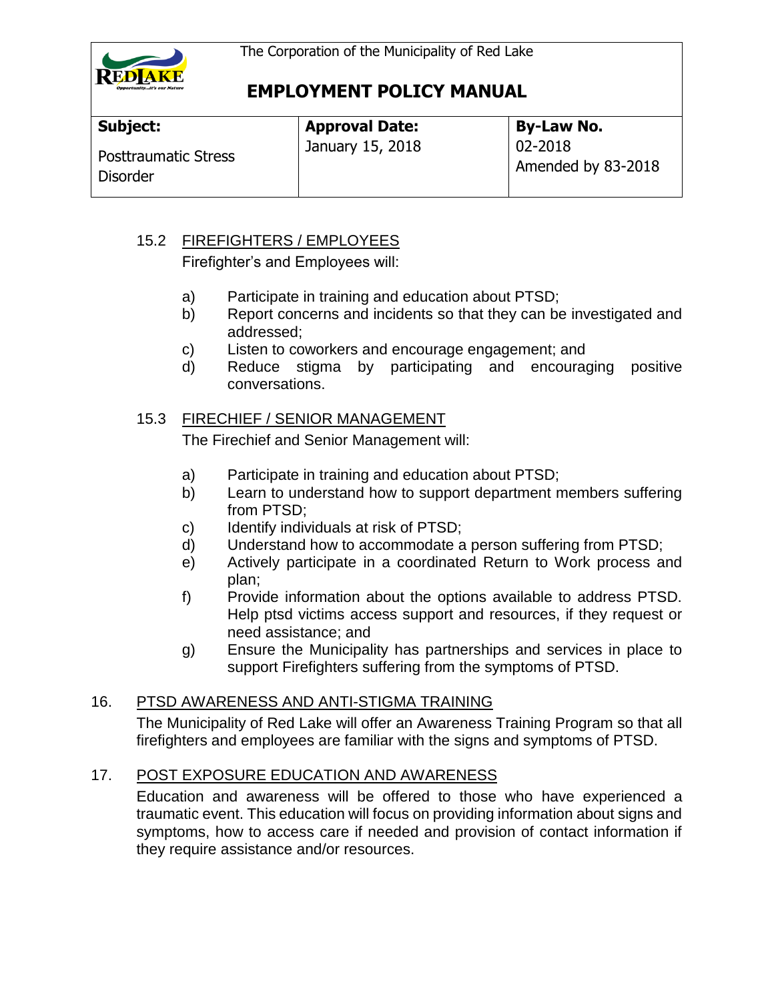

| Subject:                                       | <b>Approval Date:</b> | <b>By-Law No.</b>             |
|------------------------------------------------|-----------------------|-------------------------------|
| <b>Posttraumatic Stress</b><br><b>Disorder</b> | January 15, 2018      | 02-2018<br>Amended by 83-2018 |

### 15.2 FIREFIGHTERS / EMPLOYEES

Firefighter's and Employees will:

- a) Participate in training and education about PTSD;
- b) Report concerns and incidents so that they can be investigated and addressed;
- c) Listen to coworkers and encourage engagement; and
- d) Reduce stigma by participating and encouraging positive conversations.

### 15.3 FIRECHIEF / SENIOR MANAGEMENT

The Firechief and Senior Management will:

- a) Participate in training and education about PTSD;
- b) Learn to understand how to support department members suffering from PTSD;
- c) Identify individuals at risk of PTSD;
- d) Understand how to accommodate a person suffering from PTSD;
- e) Actively participate in a coordinated Return to Work process and plan;
- f) Provide information about the options available to address PTSD. Help ptsd victims access support and resources, if they request or need assistance; and
- g) Ensure the Municipality has partnerships and services in place to support Firefighters suffering from the symptoms of PTSD.

### 16. PTSD AWARENESS AND ANTI-STIGMA TRAINING

The Municipality of Red Lake will offer an Awareness Training Program so that all firefighters and employees are familiar with the signs and symptoms of PTSD.

### 17. POST EXPOSURE EDUCATION AND AWARENESS

Education and awareness will be offered to those who have experienced a traumatic event. This education will focus on providing information about signs and symptoms, how to access care if needed and provision of contact information if they require assistance and/or resources.